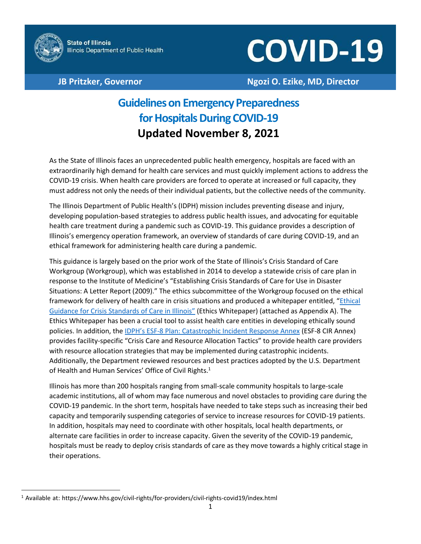

# **COVID-19**

# **JB Pritzker, Governor Ngozi O. Ezike, MD, Director**

# **Guidelines on Emergency Preparedness for Hospitals During COVID-19 Updated November 8, 2021**

As the State of Illinois faces an unprecedented public health emergency, hospitals are faced with an extraordinarily high demand for health care services and must quickly implement actions to address the COVID-19 crisis. When health care providers are forced to operate at increased or full capacity, they must address not only the needs of their individual patients, but the collective needs of the community.

The Illinois Department of Public Health's (IDPH) mission includes preventing disease and injury, developing population-based strategies to address public health issues, and advocating for equitable health care treatment during a pandemic such as COVID-19. This guidance provides a description of Illinois's emergency operation framework, an overview of standards of care during COVID-19, and an ethical framework for administering health care during a pandemic.

This guidance is largely based on the prior work of the State of Illinois's Crisis Standard of Care Workgroup (Workgroup), which was established in 2014 to develop a statewide crisis of care plan in response to the Institute of Medicine's "Establishing Crisis Standards of Care for Use in Disaster Situations: A Letter Report (2009)." The ethics subcommittee of the Workgroup focused on the ethical framework for delivery of health care in crisis situations and produced a whitepaper entitled, "[Ethical](http://www.bioethics.net/wp-content/uploads/2020/03/CSC-Ethics-White-Paper-Final-Draft.pdf?x52481) [Guidance for Crisis Standards of Care in Illinois](https://dph.illinois.gov/content/dam/soi/en/web/idph/covid19/healthcare-providers/CSC-Ethics-White-Paper.pdf)" (Ethics Whitepaper) (attached as Appendix A). The Ethics Whitepaper has been a crucial tool to assist health care entities in developing ethically sound policies. In addition, the IDPH's ESF[-8 Plan: Catastrophic Incident Response Annex](https://dph.illinois.gov/content/dam/soi/en/web/idph/covid19/healthcare-providers/idph-esf-8-plan-2018.pdf) (ESF-8 CIR Annex) provides facility-specific "Crisis Care and Resource Allocation Tactics" to provide health care providers with resource allocation strategies that may be implemented during catastrophic incidents. Additionally, the Department reviewed resources and best practices adopted by the U.S. Department of Health and Human Services' Office of Civil Rights.<sup>[1](#page-0-0)</sup>

Illinois has more than 200 hospitals ranging from small-scale community hospitals to large-scale academic institutions, all of whom may face numerous and novel obstacles to providing care during the COVID-19 pandemic. In the short term, hospitals have needed to take steps such as increasing their bed capacity and temporarily suspending categories of service to increase resources for COVID-19 patients. In addition, hospitals may need to coordinate with other hospitals, local health departments, or alternate care facilities in order to increase capacity. Given the severity of the COVID-19 pandemic, hospitals must be ready to deploy crisis standards of care as they move towards a highly critical stage in their operations.

<span id="page-0-0"></span><sup>&</sup>lt;sup>1</sup> Available at: https[://www.hhs.gov/civil-rights/for-providers/civil-rights-covid19/index.html](http://www.hhs.gov/civil-rights/for-providers/civil-rights-covid19/index.html)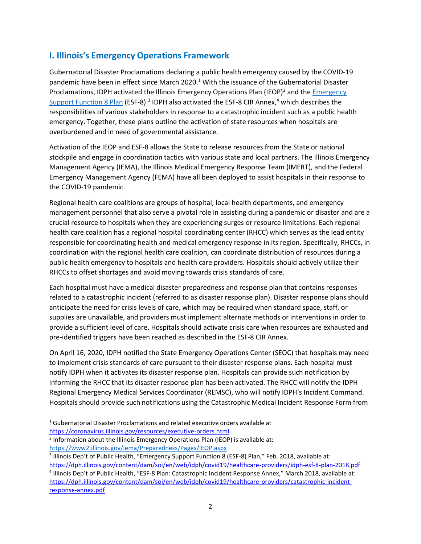# <span id="page-1-2"></span>**I. Illinois's Emergency Operations Framework**

Gubernatorial Disaster Proclamations declaring a public health emergency caused by the COVID-19 pandemic have been in effect since March 202[0.](#page-1-0)<sup>1</sup> With the issuance of the Gubernatorial Disaster Proclamations, IDPH activated the Illinois Emergency Operations Plan (IEOP)<sup>2</sup> and th[e Emergency](https://dph.illinois.gov/content/dam/soi/en/web/idph/covid19/healthcare-providers/idph-esf-8-plan-2018.pdf) [Support Function 8 Plan](http://www.dph.illinois.gov/sites/default/files/publications/idph-esf-8-plan-2018-final-public-version-032718.pdf) (ESF-8).<sup>3</sup> [ID](#page-1-1)PH also activated the ESF-8 CIR Anne[x,](#page-1-2)<sup>4</sup> which describes the responsibilities of various stakeholders in response to a catastrophic incident such as a public health emergency. Together, these plans outline the activation of state resources when hospitals are overburdened and in need of governmental assistance.

Activation of the IEOP and ESF-8 allows the State to release resources from the State or national stockpile and engage in coordination tactics with various state and local partners. The Illinois Emergency Management Agency (IEMA), the Illinois Medical Emergency Response Team (IMERT), and the Federal Emergency Management Agency (FEMA) have all been deployed to assist hospitals in their response to the COVID-19 pandemic.

Regional health care coalitions are groups of hospital, local health departments, and emergency management personnel that also serve a pivotal role in assisting during a pandemic or disaster and are a crucial resource to hospitals when they are experiencing surges or resource limitations. Each regional health care coalition has a regional hospital coordinating center (RHCC) which serves as the lead entity responsible for coordinating health and medical emergency response in its region. Specifically, RHCCs, in coordination with the regional health care coalition, can coordinate distribution of resources during a public health emergency to hospitals and health care providers. Hospitals should actively utilize their RHCCs to offset shortages and avoid moving towards crisis standards of care.

Each hospital must have a medical disaster preparedness and response plan that contains responses related to a catastrophic incident (referred to as disaster response plan). Disaster response plans should anticipate the need for crisis levels of care, which may be required when standard space, staff, or supplies are unavailable, and providers must implement alternate methods or interventions in order to provide a sufficient level of care. Hospitals should activate crisis care when resources are exhausted and pre-identified triggers have been reached as described in the ESF-8 CIR Annex.

On April 16, 2020, IDPH notified the State Emergency Operations Center (SEOC) that hospitals may need to implement crisis standards of care pursuant to their disaster response plans. Each hospital must notify IDPH when it activates its disaster response plan. Hospitals can provide such notification by informing the RHCC that its disaster response plan has been activated. The RHCC will notify the IDPH Regional Emergency Medical Services Coordinator (REMSC), who will notify IDPH's Incident Command. Hospitals should provide such notifications using the Catastrophic Medical Incident Response Form from

- <span id="page-1-0"></span><sup>1</sup> Gubernatorial Disaster Proclamations and related executive orders available at
- <https://coronavirus.illinois.gov/resources/executive-orders.html>
- <span id="page-1-1"></span><sup>2</sup> Information about the Illinois Emergency Operations Plan (IEOP) is available at: <https://www2.illinois.gov/iema/Preparedness/Pages/IEOP.aspx>
- <sup>3</sup> Illinois Dep't of Public Health, "Emergency Support Function 8 (ESF-8) Plan," Feb. 2018, available at:

<https://dph.illinois.gov/content/dam/soi/en/web/idph/covid19/healthcare-providers/idph-esf-8-plan-2018.pdf> 4 Illinois Dep't of Public Health, "ESF-8 Plan: Catastrophic Incident Response Annex," March 2018, available at: [https://dph.illinois.gov/content/dam/soi/en/web/idph/covid19/healthcare-providers/catastrophic-incident](https://dph.illinois.gov/content/dam/soi/en/web/idph/covid19/healthcare-providers/catastrophic-incident-response-annex.pdf)[response-annex.pdf](https://dph.illinois.gov/content/dam/soi/en/web/idph/covid19/healthcare-providers/catastrophic-incident-response-annex.pdf)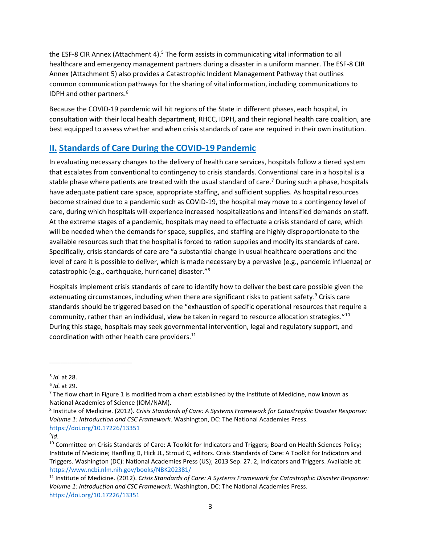the ESF-8 CIR Annex (Attachment 4[\).](#page-2-0)<sup>5</sup> The form assists in communicating vital information to all healthcare and emergency management partners during a disaster in a uniform manner. The ESF-8 CIR Annex (Attachment 5) also provides a Catastrophic Incident Management Pathway that outlines common communication pathways for the sharing of vital information, including communications to IDPH and other partner[s.](#page-2-1) 6

Because the COVID-19 pandemic will hit regions of the State in different phases, each hospital, in consultation with their local health department, RHCC, IDPH, and their regional health care coalition, are best equipped to assess whether and when crisis standards of care are required in their own institution.

# **II. Standards of Care During the COVID-19 Pandemic**

In evaluating necessary changes to the delivery of health care services, hospitals follow a tiered system that escalates from conventional to contingency to crisis standards. Conventional care in a hospital is a stable phase where patients are treated with the usual standard of care.<sup>[7](#page-2-2)</sup> During such a phase, hospitals have adequate patient care space, appropriate staffing, and sufficient supplies. As hospital resources become strained due to a pandemic such as COVID-19, the hospital may move to a contingency level of care, during which hospitals will experience increased hospitalizations and intensified demands on staff. At the extreme stages of a pandemic, hospitals may need to effectuate a crisis standard of care, which will be needed when the demands for space, supplies, and staffing are highly disproportionate to the available resources such that the hospital is forced to ration supplies and modify its standards of care. Specifically, crisis standards of care are "a substantial change in usual healthcare operations and the level of care it is possible to deliver, which is made necessary by a pervasive (e.g., pandemic influenza) or catastrophic (e.g., earthquake, hurricane) disaster."[8](#page-2-3)

Hospitals implement crisis standards of care to identify how to deliver the best care possible given the extenuating circumstances, including when there are significant risks to patient safet[y.](#page-2-4)<sup>9</sup> Crisis care standards should be triggered based on the "exhaustion of specific operational resources that require a community, rather than an individual, view be taken in regard to resource allocation strategies."[10](#page-2-5) During this stage, hospitals may seek governmental intervention, legal and regulatory support, and coordination with other health care provider[s.](#page-2-6) 11

<span id="page-2-0"></span>\_\_\_\_\_\_\_\_\_\_\_\_\_\_\_\_\_\_\_\_\_\_\_\_\_\_\_\_\_\_\_\_\_\_\_\_\_

<sup>5</sup> *Id.* at 28.

<span id="page-2-2"></span><span id="page-2-1"></span><sup>6</sup> *Id.* at 29.

<span id="page-2-3"></span> $7$  The flow chart in Figure 1 is modified from a chart established by the Institute of Medicine, now known as National Academies of Science (IOM/NAM).

<sup>8</sup> Institute of Medicine. (2012). *Crisis Standards of Care: A Systems Framework for Catastrophic Disaster Response: Volume 1: Introduction and CSC Framework*. Washington, DC: The National Academies Press. <https://doi.org/10.17226/13351>

<span id="page-2-5"></span><span id="page-2-4"></span><sup>9</sup> *Id*.

<sup>&</sup>lt;sup>10</sup> Committee on Crisis Standards of Care: A Toolkit for Indicators and Triggers; Board on Health Sciences Policy; Institute of Medicine; Hanfling D, Hick JL, Stroud C, editors. Crisis Standards of Care: A Toolkit for Indicators and Triggers. Washington (DC): National Academies Press (US); 2013 Sep. 27. 2, Indicators and Triggers. Available at: <https://www.ncbi.nlm.nih.gov/books/NBK202381/>

<span id="page-2-6"></span><sup>11</sup> Institute of Medicine. (2012). *Crisis Standards of Care: A Systems Framework for Catastrophic Disaster Response: Volume 1: Introduction and CSC Framework*. Washington, DC: The National Academies Press. <https://doi.org/10.17226/13351>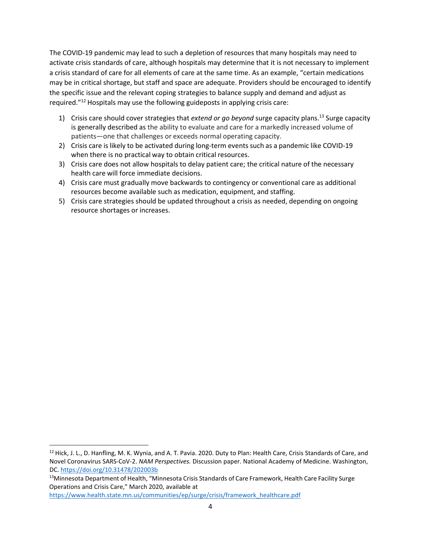The COVID-19 pandemic may lead to such a depletion of resources that many hospitals may need to activate crisis standards of care, although hospitals may determine that it is not necessary to implement a crisis standard of care for all elements of care at the same time. As an example, "certain medications may be in critical shortage, but staff and space are adequate. Providers should be encouraged to identify the specific issue and the relevant coping strategies to balance supply and demand and adjust as required."[12](#page-3-0) Hospitals may use the following guideposts in applying crisis care:

- 1) Crisis care should cover strategies that *extend or go beyond* surge capacity plan[s.](#page-3-1) <sup>13</sup> Surge capacity is generally described as the ability to evaluate and care for a markedly increased volume of patients—one that challenges or exceeds normal operating capacity.
- 2) Crisis care is likely to be activated during long-term events such as a pandemic like COVID-19 when there is no practical way to obtain critical resources.
- 3) Crisis care does not allow hospitals to delay patient care; the critical nature of the necessary health care will force immediate decisions.
- 4) Crisis care must gradually move backwards to contingency or conventional care as additional resources become available such as medication, equipment, and staffing.
- 5) Crisis care strategies should be updated throughout a crisis as needed, depending on ongoing resource shortages or increases.

[https://www.health.state.mn.us/communities/ep/surge/crisis/framework\\_healthcare.pdf](https://www.health.state.mn.us/communities/ep/surge/crisis/framework_healthcare.pdf)

<span id="page-3-0"></span><sup>&</sup>lt;sup>12</sup> Hick, J. L., D. Hanfling, M. K. Wynia, and A. T. Pavia. 2020. Duty to Plan: Health Care, Crisis Standards of Care, and Novel Coronavirus SARS-CoV-2. *NAM Perspectives.* Discussion paper. National Academy of Medicine. Washington, DC. <https://doi.org/10.31478/202003b>

<span id="page-3-1"></span><sup>13</sup>Minnesota Department of Health, "Minnesota Crisis Standards of Care Framework, Health Care Facility Surge Operations and Crisis Care," March 2020, available at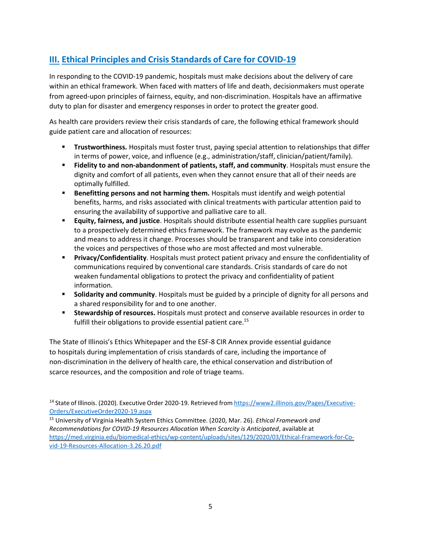# **III. Ethical Principles and Crisis Standards of Care for COVID-19**

In responding to the COVID-19 pandemic, hospitals must make decisions about the delivery of care within an ethical framework. When faced with matters of life and death, decisionmakers must operate from agreed-upon principles of fairness, equity, and non-discrimination. Hospitals have an affirmative duty to plan for disaster and emergency responses in order to protect the greater good.

As health care providers review their crisis standards of care, the following ethical framework should guide patient care and allocation of resources:

- **Trustworthiness.** Hospitals must foster trust, paying special attention to relationships that differ in terms of power, voice, and influence (e.g., administration/staff, clinician/patient/family).
- **Fidelity to and non-abandonment of patients, staff, and community**. Hospitals must ensure the dignity and comfort of all patients, even when they cannot ensure that all of their needs are optimally fulfilled.
- **EXEDER FIRE 2018 ISS PEREFEE THE PERETA PERETA FIRE PROTATION IS PERETA FIRENT PROTATION B** Benefital **Protential** benefits, harms, and risks associated with clinical treatments with particular attention paid to ensuring the availability of supportive and palliative care to all.
- **Equity, fairness, and justice**. Hospitals should distribute essential health care supplies pursuant to a prospectively determined ethics framework. The framework may evolve as the pandemic and means to address it change. Processes should be transparent and take into consideration the voices and perspectives of those who are most affected and most vulnerable.
- **Privacy/Confidentiality**. Hospitals must protect patient privacy and ensure the confidentiality of communications required by conventional care standards. Crisis standards of care do not weaken fundamental obligations to protect the privacy and confidentiality of patient information.
- **Solidarity and community**. Hospitals must be guided by a principle of dignity for all persons and a shared responsibility for and to one another.
- **EXECT Stewardship of resources.** Hospitals must protect and conserve available resources in order to fulfill their obligations to provide essential patient car[e.](#page-4-0)<sup>15</sup>

The State of Illinois's Ethics Whitepaper and the ESF-8 CIR Annex provide essential guidance to hospitals during implementation of crisis standards of care, including the importance of non-discrimination in the delivery of health care, the ethical conservation and distribution of scarce resources, and the composition and role of triage teams.

<sup>&</sup>lt;sup>14</sup> State of Illinois. (2020). Executive Order 2020-19. Retrieved from [https://www2.illinois.gov/Pages/Executive-](https://www2.illinois.gov/Pages/Executive-Orders/ExecutiveOrder2020-19.aspx)[Orders/ExecutiveOrder2020-19.aspx](https://www2.illinois.gov/Pages/Executive-Orders/ExecutiveOrder2020-19.aspx)

<span id="page-4-0"></span><sup>15</sup> University of Virginia Health System Ethics Committee. (2020, Mar. 26). *Ethical Framework and Recommendations for COVID-19 Resources Allocation When Scarcity is Anticipated*, available at [https://med.virginia.edu/biomedical-ethics/wp-content/uploads/sites/129/2020/03/Ethical-Framework-for-Co](https://med.virginia.edu/biomedical-ethics/wp-content/uploads/sites/129/2020/03/Ethical-Framework-for-Co-vid-19-Resources-Allocation-3.26.20.pdf)[vid-19-Resources-Allocation-3.26.20.pdf](https://med.virginia.edu/biomedical-ethics/wp-content/uploads/sites/129/2020/03/Ethical-Framework-for-Co-vid-19-Resources-Allocation-3.26.20.pdf)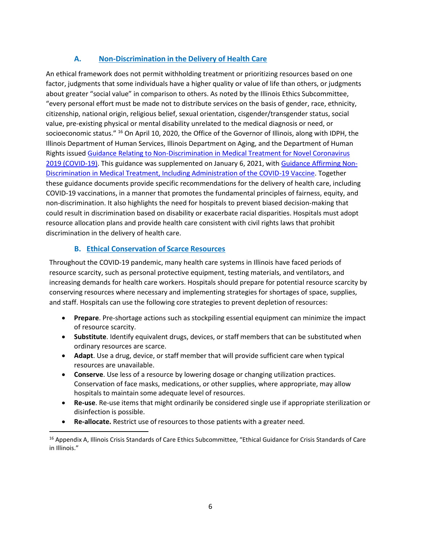## **A. Non-Discrimination in the Delivery of Health Care**

An ethical framework does not permit withholding treatment or prioritizing resources based on one factor, judgments that some individuals have a higher quality or value of life than others, or judgments about greater "social value" in comparison to others. As noted by the Illinois Ethics Subcommittee, "every personal effort must be made not to distribute services on the basis of gender, race, ethnicity, citizenship, national origin, religious belief, sexual orientation, cisgender/transgender status, social value, pre-existing physical or mental disability unrelated to the medical diagnosis or need, or socioeconomic status." <sup>16</sup> On April 10, 2020, the Office of the Governor of Illinois, along with IDPH, the Illinois Department of Human Services, Illinois Department on Aging, and the Department of Human Rights issue[d Guidance Relating to Non-Discrimination in Medical Treatment for Novel Coronavirus](https://www2.illinois.gov/dhr/Documents/FINAL%20Guidance%20Relating%20to%20Non-Discrimination%20in%20Medical%20Treatment%204_10_204a.pdf) [2019 \(COVID-19\). T](https://www2.illinois.gov/dhr/Documents/FINAL%20Guidance%20Relating%20to%20Non-Discrimination%20in%20Medical%20Treatment%204_10_204a.pdf)his guidance was supplemented on January 6, 2021, with [Guidance Affirming Non-](https://dph.illinois.gov/covid19/community-guidance/guidance-affirming-non-discrimination-medical-treatment.html)[Discrimination in Medical Treatment, Including Administration of the COVID-19 Vaccine.](https://dph.illinois.gov/covid19/community-guidance/guidance-affirming-non-discrimination-medical-treatment.html) Together these guidance documents provide specific recommendations for the delivery of health care, including COVID-19 vaccinations, in a manner that promotes the fundamental principles of fairness, equity, and non-discrimination. It also highlights the need for hospitals to prevent biased decision-making that could result in discrimination based on disability or exacerbate racial disparities. Hospitals must adopt resource allocation plans and provide health care consistent with civil rights laws that prohibit discrimination in the delivery of health care.

#### **B. Ethical Conservation of Scarce Resources**

Throughout the COVID-19 pandemic, many health care systems in Illinois have faced periods of resource scarcity, such as personal protective equipment, testing materials, and ventilators, and increasing demands for health care workers. Hospitals should prepare for potential resource scarcity by conserving resources where necessary and implementing strategies for shortages of space, supplies, and staff. Hospitals can use the following core strategies to prevent depletion of resources:

- **Prepare**. Pre-shortage actions such as stockpiling essential equipment can minimize the impact of resource scarcity.
- **Substitute**. Identify equivalent drugs, devices, or staff members that can be substituted when ordinary resources are scarce.
- **Adapt**. Use a drug, device, or staff member that will provide sufficient care when typical resources are unavailable.
- **Conserve**. Use less of a resource by lowering dosage or changing utilization practices. Conservation of face masks, medications, or other supplies, where appropriate, may allow hospitals to maintain some adequate level of resources.
- **Re-use**. Re-use items that might ordinarily be considered single use if appropriate sterilization or disinfection is possible.
- Re-allocate. Restrict use of resources to those patients with a greater need.

<sup>&</sup>lt;sup>16</sup> Appendix A, Illinois Crisis Standards of Care Ethics Subcommittee, "Ethical Guidance for Crisis Standards of Care in Illinois."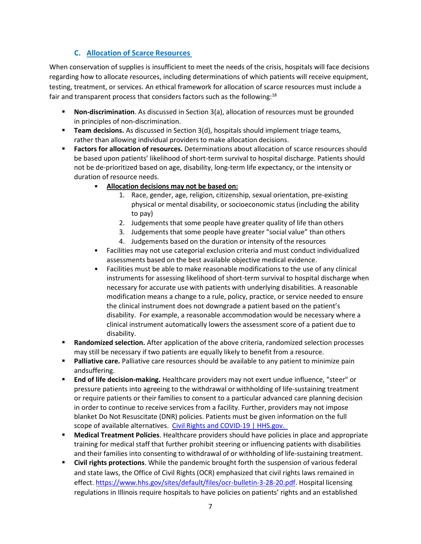#### **C. Allocation of Scarce Resources**

When conservation of supplies is insufficient to meet the needs of the crisis, hospitals will face decisions regarding how to allocate resources, including determinations of which patients will receive equipment, testing, treatment, or services. An ethical framework for allocation of scarce resources must include a fair and transparent process that considers factors such as the following:<sup>[18](#page-7-0)</sup>

- **Non-discrimination**. As discussed in Section 3(a), allocation of resources must be grounded in principles of non-discrimination.
- **E** Team decisions. As discussed in Section 3(d), hospitals should implement triage teams, rather than allowing individual providers to make allocation decisions.
- **Factors for allocation of resources.** Determinations about allocation of scarce resources should be based upon patients' likelihood of short-term survival to hospital discharge. Patients should not be de-prioritized based on age, disability, long-term life expectancy, or the intensity or duration of resource needs.
	- **Allocation decisions may not be based on:**
		- 1. Race, gender, age, religion, citizenship, sexual orientation, pre-existing physical or mental disability, or socioeconomic status (including the ability to pay)
		- 2. Judgements that some people have greater quality of life than others
		- 3. Judgements that some people have greater "social value" than others
		- 4. Judgements based on the duration or intensity of the resources
	- Facilities may not use categorial exclusion criteria and must conduct individualized assessments based on the best available objective medical evidence.
	- Facilities must be able to make reasonable modifications to the use of any clinical instruments for assessing likelihood of short-term survival to hospital discharge when necessary for accurate use with patients with underlying disabilities. A reasonable modification means a change to a rule, policy, practice, or service needed to ensure the clinical instrument does not downgrade a patient based on the patient's disability. For example, a reasonable accommodation would be necessary where a clinical instrument automatically lowers the assessment score of a patient due to disability.
- **EXANDIMIZED SEAUTE: Randomized selection.** After application of the above criteria, randomized selection processes may still be necessary if two patients are equally likely to benefit from a resource.
- **EXTE:** Palliative care. Palliative care resources should be available to any patient to minimize pain andsuffering.
- **End of life decision-making.** Healthcare providers may not exert undue influence, "steer" or pressure patients into agreeing to the withdrawal or withholding of life-sustaining treatment or require patients or their families to consent to a particular advanced care planning decision in order to continue to receive services from a facility. Further, providers may not impose blanket Do Not Resuscitate (DNR) policies. Patients must be given information on the full scope of available alternatives. Civil Rights and [COVID-19 |](https://www.hhs.gov/civil-rights/for-providers/civil-rights-covid19/index.html) HHS.gov.
- **Medical Treatment Policies**. Healthcare providers should have policies in place and appropriate training for medical staff that further prohibit steering or influencing patients with disabilities and their families into consenting to withdrawal of or withholding of life-sustaining treatment.
- **Example 1 Civil rights protections**. While the pandemic brought forth the suspension of various federal and state laws, the Office of Civil Rights (OCR) emphasized that civil rights laws remained in effect. [https://www.hhs.gov/sites/default/files/ocr-bulletin-3-28-20.pdf. H](https://www.hhs.gov/sites/default/files/ocr-bulletin-3-28-20.pdf)ospital licensing regulations in Illinois require hospitals to have policies on patients' rights and an established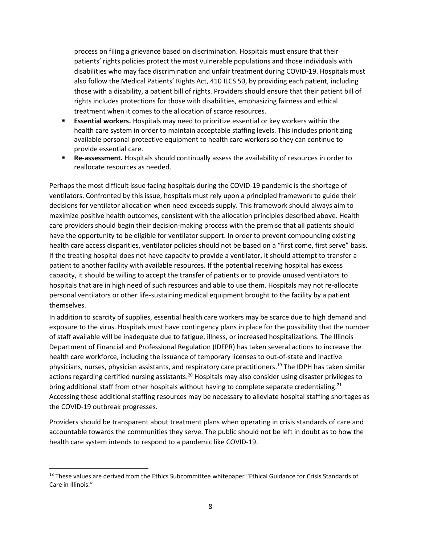process on filing a grievance based on discrimination. Hospitals must ensure that their patients' rights policies protect the most vulnerable populations and those individuals with disabilities who may face discrimination and unfair treatment during COVID-19. Hospitals must also follow the Medical Patients' Rights Act, 410 ILCS 50, by providing each patient, including those with a disability, a patient bill of rights. Providers should ensure that their patient bill of rights includes protections for those with disabilities, emphasizing fairness and ethical treatment when it comes to the allocation of scarce resources.

- **Essential workers.** Hospitals may need to prioritize essential or key workers within the health care system in order to maintain acceptable staffing levels. This includes prioritizing available personal protective equipment to health care workers so they can continue to provide essential care.
- **Re-assessment.** Hospitals should continually assess the availability of resources in order to reallocate resources as needed.

Perhaps the most difficult issue facing hospitals during the COVID-19 pandemic is the shortage of ventilators. Confronted by this issue, hospitals must rely upon a principled framework to guide their decisions for ventilator allocation when need exceeds supply. This framework should always aim to maximize positive health outcomes, consistent with the allocation principles described above. Health care providers should begin their decision-making process with the premise that all patients should have the opportunity to be eligible for ventilator support. In order to prevent compounding existing health care access disparities, ventilator policies should not be based on a "first come, first serve" basis. If the treating hospital does not have capacity to provide a ventilator, it should attempt to transfer a patient to another facility with available resources. If the potential receiving hospital has excess capacity, it should be willing to accept the transfer of patients or to provide unused ventilators to hospitals that are in high need of such resources and able to use them. Hospitals may not re-allocate personal ventilators or other life-sustaining medical equipment brought to the facility by a patient themselves.

In addition to scarcity of supplies, essential health care workers may be scarce due to high demand and exposure to the virus. Hospitals must have contingency plans in place for the possibility that the number of staff available will be inadequate due to fatigue, illness, or increased hospitalizations. The Illinois Department of Financial and Professional Regulation (IDFPR) has taken several actions to increase the health care workforce, including the issuance of temporary licenses to out-of-state and inactive physicians, nurses, physician assistants, and respiratory care practitioner[s.](#page-8-0) <sup>19</sup> The IDPH has taken similar actions regarding certified nursing assistant[s.](#page-8-1)<sup>20</sup> Hospitals may also consider using disaster privileges to bring additional staff from other hospitals without having to complete separate credentialin[g.](#page-8-2)<sup>21</sup> Accessing these additional staffing resources may be necessary to alleviate hospital staffing shortages as the COVID-19 outbreak progresses.

Providers should be transparent about treatment plans when operating in crisis standards of care and accountable towards the communities they serve. The public should not be left in doubt as to how the health care system intends to respond to a pandemic like COVID-19.

<span id="page-7-0"></span><sup>&</sup>lt;sup>18</sup> These values are derived from the Ethics Subcommittee whitepaper "Ethical Guidance for Crisis Standards of Care in Illinois."